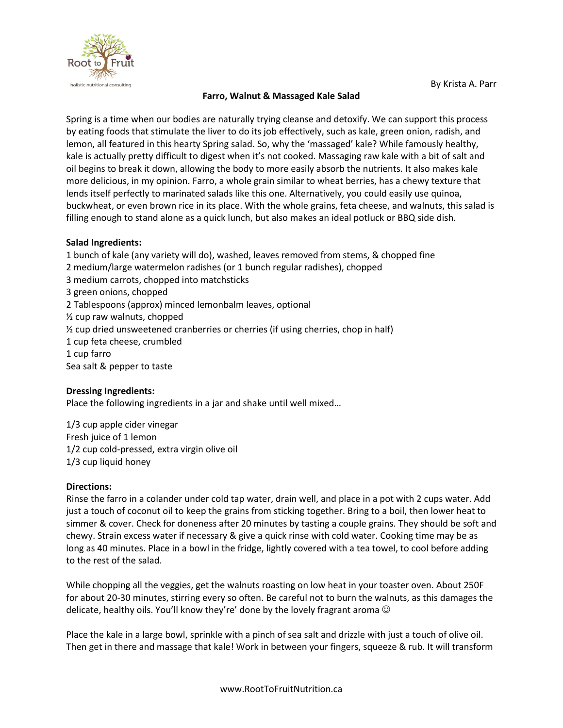

By Krista A. Parr

## **Farro, Walnut & Massaged Kale Salad**

Spring is a time when our bodies are naturally trying cleanse and detoxify. We can support this process by eating foods that stimulate the liver to do its job effectively, such as kale, green onion, radish, and lemon, all featured in this hearty Spring salad. So, why the 'massaged' kale? While famously healthy, kale is actually pretty difficult to digest when it's not cooked. Massaging raw kale with a bit of salt and oil begins to break it down, allowing the body to more easily absorb the nutrients. It also makes kale more delicious, in my opinion. Farro, a whole grain similar to wheat berries, has a chewy texture that lends itself perfectly to marinated salads like this one. Alternatively, you could easily use quinoa, buckwheat, or even brown rice in its place. With the whole grains, feta cheese, and walnuts, this salad is filling enough to stand alone as a quick lunch, but also makes an ideal potluck or BBQ side dish.

## **Salad Ingredients:**

1 bunch of kale (any variety will do), washed, leaves removed from stems, & chopped fine 2 medium/large watermelon radishes (or 1 bunch regular radishes), chopped 3 medium carrots, chopped into matchsticks 3 green onions, chopped 2 Tablespoons (approx) minced lemonbalm leaves, optional ½ cup raw walnuts, chopped ½ cup dried unsweetened cranberries or cherries (if using cherries, chop in half) 1 cup feta cheese, crumbled 1 cup farro Sea salt & pepper to taste

## **Dressing Ingredients:**

Place the following ingredients in a jar and shake until well mixed…

1/3 cup apple cider vinegar Fresh juice of 1 lemon 1/2 cup cold-pressed, extra virgin olive oil 1/3 cup liquid honey

## **Directions:**

Rinse the farro in a colander under cold tap water, drain well, and place in a pot with 2 cups water. Add just a touch of coconut oil to keep the grains from sticking together. Bring to a boil, then lower heat to simmer & cover. Check for doneness after 20 minutes by tasting a couple grains. They should be soft and chewy. Strain excess water if necessary & give a quick rinse with cold water. Cooking time may be as long as 40 minutes. Place in a bowl in the fridge, lightly covered with a tea towel, to cool before adding to the rest of the salad.

While chopping all the veggies, get the walnuts roasting on low heat in your toaster oven. About 250F for about 20-30 minutes, stirring every so often. Be careful not to burn the walnuts, as this damages the delicate, healthy oils. You'll know they're' done by the lovely fragrant aroma  $\odot$ 

Place the kale in a large bowl, sprinkle with a pinch of sea salt and drizzle with just a touch of olive oil. Then get in there and massage that kale! Work in between your fingers, squeeze & rub. It will transform